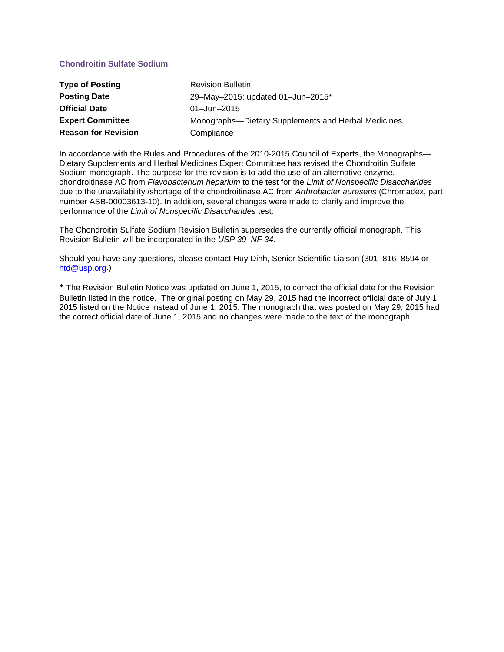## **Chondroitin Sulfate Sodium**

| <b>Type of Posting</b>     | <b>Revision Bulletin</b>                            |  |
|----------------------------|-----------------------------------------------------|--|
| <b>Posting Date</b>        | 29-May-2015; updated 01-Jun-2015*                   |  |
| <b>Official Date</b>       | $01 - Jun - 2015$                                   |  |
| <b>Expert Committee</b>    | Monographs-Dietary Supplements and Herbal Medicines |  |
| <b>Reason for Revision</b> | Compliance                                          |  |

In accordance with the Rules and Procedures of the 2010-2015 Council of Experts, the Monographs— Dietary Supplements and Herbal Medicines Expert Committee has revised the Chondroitin Sulfate Sodium monograph. The purpose for the revision is to add the use of an alternative enzyme, chondroitinase AC from *Flavobacterium heparium* to the test for the *Limit of Nonspecific Disaccharides* due to the unavailability /shortage of the chondroitinase AC from *Arthrobacter auresens* (Chromadex, part number ASB-00003613-10). In addition, several changes were made to clarify and improve the performance of the *Limit of Nonspecific Disaccharides* test.

The Chondroitin Sulfate Sodium Revision Bulletin supersedes the currently official monograph. This Revision Bulletin will be incorporated in the *USP 39–NF 34.* 

Should you have any questions, please contact Huy Dinh, Senior Scientific Liaison (301–816–8594 or [htd@usp.org.](mailto:htd@usp.org))

\* The Revision Bulletin Notice was updated on June 1, 2015, to correct the official date for the Revision Bulletin listed in the notice. The original posting on May 29, 2015 had the incorrect official date of July 1, 2015 listed on the Notice instead of June 1, 2015. The monograph that was posted on May 29, 2015 had the correct official date of June 1, 2015 and no changes were made to the text of the monograph.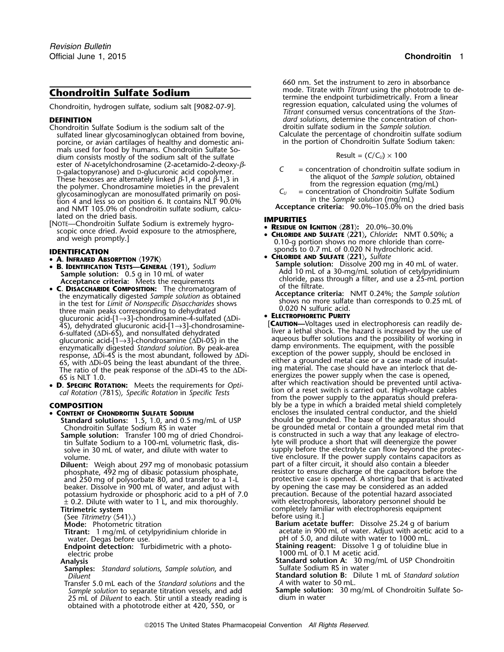Chondroitin, hydrogen sulfate, sodium salt [9082-07-9].

- Chondroitin Sulfate Sodium is the sodium salt of the droitin sulfate sodium in the *Sample solution*. sulfated linear glycosaminoglycan obtained from bovine, Calculate the percentage of chondroitin sulfate sodiun<br>porcine, or avian cartilages of healthy and domestic ani- in the portion of Chondroitin Sulfate Sodium taken: porcine, or avian cartilages of healthy and domestic animals used for food by humans. Chondroitin Sulfate Sodium consists mostly of the sodium salt of the sulfate<br>ester of *N*-acetylchondrosamine (2-acetamido-2-deoxy-*ß*- $C =$  concentration of chondroitin sulfate sodium in<br>
D-galactopyranose) and D-glucuronic acid copolymer.<br>
These hexoses are alternately linked β-1,4 and β-1,3 in<br>
the aliquot of the Sample solution, obtained<br>
the polymer glycosaminoglycan are monosulfated primarily on posi-<br>tion 4 and less so on position 6. It contains NLT 90.0% and NMT 105.0% of chondroitin sulfate sodium, calcu-<br>and NMT 105.0% of chondroitin sulfate sodium, calcu-<br>**Acceptance criteria:** 90.0%–105.0% on the dried basis
- lated on the dried basis.<br>
[NOTE—Chondroitin Sulfate Sodium is extremely hygro-<br> **IMPURITIES**<br>  **RESIDUE ON IGNITION** (281): 20.0%–30.0% **RESIDE AND IRELATE (221), Chloride:** NMT 0.50%; and weigh promptly.]<br>and weigh promptly.] **CALCE CON** CHECK **CHECK CONTROVERS** on the atmosphere of the atmosphere of the atmosphere,  $\theta$  and weigh promptly on the atmosphe

- 
- **B. IDENTIFICATION TESTS—GENERAL** 〈**191**〉**,** *Sodium*
- **C. DISACCHARIDE COMPOSITION:** The chromatogram of the filtrate.<br>
the enzymatically digested *Sample solution* as obtained<br>
in the test for *Limit of Nonspecific Disaccharides* shows three main peaks corresponding to dehy
- 

- •
	- **Standard solutions:** 1.5, 1.0, and 0.5 mg/mL of USP<br>Chondroitin Sulfate Sodium RS in water
	-
	- **Diluent:** Weigh about 297 mg of monobasic potassium part of a filter circuit, it should also contain a bleeder beaker. Dissolve in 900 mL of water, and adjust with by opening the case may be considered as an added<br>by opening the case may be considered as an added<br>potassium hydroxide or phosphoric acid to a pH of 7.0 precaution. Bec potassium hydroxide or phosphoric acid to a pH of 7.0 precaution. Because of the potential hazard associate<br>  $\pm$  0.2. Dilute with water to 1 L, and mix thoroughly. With electrophoresis, laboratory personnel should be  $\pm$  0.2. Dilute with water to 1 L, and mix thoroughly.<br>Titrimetric system
	-
	- (See *Titrimetry*  $\langle 541 \rangle$ .)<br>**Mode:** Photometric titration
	-
	- water. Degas before use. in the stream of 5.0, and dilute with water to 1000 mL and pH of 5.0, and dilute with water to 1000 mL<br>**Endpoint detection:** Turbidimetric with a photo-**Staining reagent:** Dissolve 1 g of toluidine
	- electric probe 1000 mL of 0.1 M acetic acid.<br>Analysis 1000 mL of 0.1 M acetic acid.<br>Standard solution A: 30 mg/
	-
	- **Samples:** *Standard solutions*, *Sample solution*, and *Diluent*
	- Transfer 5.0 mL each of the *Standard solutions* and the *A* with water to 50 mL. 25 mL of *Diluent* to each. Stir until a steady reading is obtained with a phototrode either at 420, 550, or

660 nm. Set the instrument to zero in absorbance **Chondroitin Sulfate Sodium**<br>
Chondroitin hydrogen sulfate sodium salt [9082-07-9]<br>
Chondroitin hydrogen sulfate sodium salt [9082-07-9]<br> **Chondroitin hydrogen sulfate sodium salt [9082-07-9]**<br> **Chondroitin hydrogen sulfat** *Titrant* consumed versus concentrations of the *Stan-***DEFINITION** *dard solutions*, determine the concentration of chon-<br>Chondroitin Sulfate Sodium is the sodium salt of the **chon-** droitin sulfate sodium in the Sample solution.

$$
Result = (C/C_U) \times 100
$$

- 
- 

- 
- **0.10-g portion shows no more chloride than corre**sponds to 0.7 mL of 0.020 N hydrochloric acid. **IDENTIFICATION**
	- •
- **CHLORIDE AND SULFATE** 〈**221**〉**,** *Sulfate* **<sup>A</sup>. INFRARED ABSORPTION** 〈**197K**〉 **Sample solution:** Dissolve 200 mg in 40 mL of water. •**Sample solution:** 0.5 <sup>g</sup>in 10 mL of water Add 10 mL of a 30-mg/mL solution of cetylpyridinium **Acceptance criteria:** Chloride, pass through a filter, and use a 25-mL portion **Acceptance criteria:** Meets the requirements **of the filtrate.** • **C. DISACCHARIDE COMPOSITION:** The chromatogram of of the filtrate.
	-

FOR EXECUTION VERSION of the plucuronic acid-[1-3]-chondrosamine-<br>
Solution and plucuronic acid-[1-3]-chondrosamine-<br>
Solution card-[1-3]-chondrosamine ( $\Delta$ Di-OS) in the angue of a que alternal shock. The hazard is incre cal Rotation (781S), Specific Rotation in Specific Tests<br>- from the power supply to the apparatus should prefera **COMPOSITION bly be a type in which a braided metal shield completely** bly be a type in which a braided metal shield completely **CONTENT OF CHONDROITIN SULFATE SODIUM** encloses the insulated central conductor, and the shield<br>Standard solutions: 1.5, 1.0, and 0.5 mg/mL of USP should be grounded. The base of the apparatus should be grounded metal or contain a grounded metal rim that **Sample solution:** Transfer 100 mg of dried Chondroi- is constructed in such a way that any leakage of electrotin Sulfate Sodium to a 100-mL volumetric flask, dis- lyte will produce a short that will deenergize the power solve in 30 mL of water, and dilute with water to supply before the electrolyte can flow beyond the protecvolume. tive enclosure. If the power supply contains capacitors as phosphate, 492 mg of dibasic potassium phosphate,<br>and 250 mg of polysorbate 80, and transfer to a 1-L protective case is opened. A shorting bar that is activate protective case is opened. A shorting bar that is activated<br>by opening the case may be considered as an added completely familiar with electrophoresis equipment before using it.]

**Barium acetate buffer:** Dissolve 25.24 g of barium **Titrant:** 1 mg/mL of cetylpyridinium chloride in acetate in 900 mL of water. Adjust with acetic acid to a water. Degas before use.

- **Endpoint detection:** Turbidimetric with a photo- **Staining reagent:** Dissolve 1 g of toluidine blue in
	- **Standard solution A:** 30 mg/mL of USP Chondroitin Sulfate Sodium RS in water
	- *Diluent* **Standard solution B:** Dilute 1 mL of *Standard solution*
- *Sample solution* to separate titration vessels, and add **Sample solution:**<sup>30</sup> mg/mL of Chondroitin Sulfate So-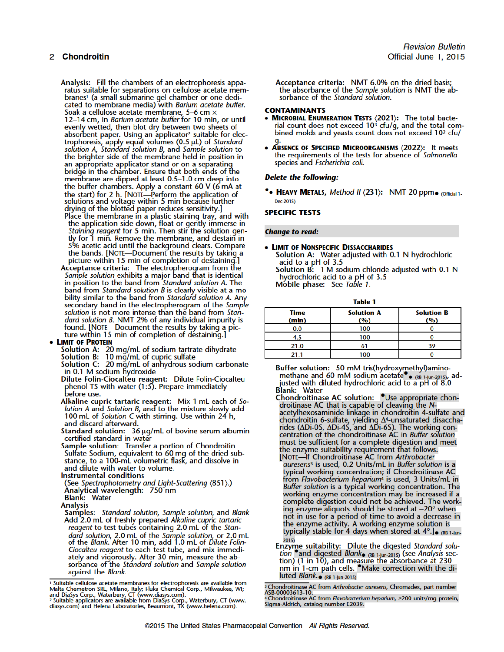Analysis: Fill the chambers of an electrophoresis apparatus suitable for separations on cellulose acetate membranes<sup>1</sup> (a small submarine gel chamber or one dedicated to membrane media) with Barium acetate buffer. Soak a cellulose acetate membrane, 5-6 cm x 12-14 cm, in Barium acetate buffer for 10 min, or until evenly wetted, then blot dry between two sheets of absorbent paper. Using an applicator<sup>2</sup> suitable for electrophoresis, apply equal volumes (0.5 µL) of Standard solution A, Standard solution B, and Sample solution to the brighter side of the membrane held in position in an appropriate applicator stand or on a separating bridge in the chamber. Ensure that both ends of the membrane are dipped at least 0.5-1.0 cm deep into the buffer chambers. Apply a constant 60 V (6 mA at<br>the start) for 2 h. [NOTE—Perform the application of<br>solutions and voltage within 5 min because further drying of the blotted paper reduces sensitivity.] Place the membrane in a plastic staining tray, and with

the application side down, float or gently immerse in<br>Staining reagent for 5 min. Then stir the solution gen-<br>tly for 1 min. Remove the membrane, and destain in 5% acetic acid until the background clears. Compare the bands. [NOTE-Document the results by taking a<br>picture within 15 min of completion of destaining.]

Acceptance criteria: The electropherogram from the Sample solution exhibits a major band that is identical in position to the band from *Standard solution A*. The band from *Standard solution B* is clearly visible at a mobility similar to the band from Standard solution A. Any secondary band in the electropherogram of the Sample solution is not more intense than the band from Standard solution B. NMT 2% of any individual impurity is found. [NOTE-Document the results by taking a picture within 15 min of completion of destaining.]

### • LIMIT OF PROTEIN

Solution A: 20 mg/mL of sodium tartrate dihydrate<br>Solution B: 10 mg/mL of cupric sulfate<br>Solution C: 20 mg/mL of anhydrous sodium carbonate

in 0.1 M sodium hydroxide

Dilute Folin-Ciocalteu reagent: Dilute Folin-Ciocalteu<br>phenol TS with water (1:5). Prepare immediately before use.

Alkaline cupric tartaric reagent: Mix 1 mL each of Solution A and Solution B, and to the mixture slowly add<br>100 mL of Solution C with stirring. Use within 24 h, and discard afterward.

Standard solution: 36 µg/mL of bovine serum albumin certified standard in water

Sample solution: Transfer a portion of Chondroitin Sulfate Sodium, equivalent to 60 mg of the dried substance, to a 100-mL volumetric flask, and dissolve in and dilute with water to volume.

**Instrumental conditions** 

(See Spectrophotometry and Light-Scattering (851).)<br>Analytical wavelength: 750 nm **Blank: Water** 

- **Analysis**
- Samples: Standard solution, Sample solution, and Blank Add 2.0 mL of freshly prepared Alkaline cupric tartaric reagent to test tubes containing 2.0 mL of the Standard solution, 2.0 mL of the Sample solution, or 2.0 mL<br>of the Blank. After 10 min, add 1.0 mL of Dilute Folin-Ciocalteu reagent to each test tube, and mix immediately and vigorously. After 30 min, measure the absorbance of the Standard solution and Sample solution against the Blank.

<sup>1</sup> Suitable cellulose acetate membranes for electrophoresis are available from Malta Chemetron SRL, Milano, Italy; Fluka Chemical Corp., Milwaukee, WI; and DiaSys Corp., Waterbury, CT (www.diasys.com).<br>
<sup>2</sup> Suitable appl

Acceptance criteria: NMT 6.0% on the dried basis; the absorbance of the Sample solution is NMT the absorbance of the Standard solution.

### **CONTAMINANTS**

- **MICROBIAL ENUMERATION TESTS**  $\langle 2021 \rangle$ **:** The total bacterial count does not exceed 10<sup>3</sup> cfu/g, and the total combined molds and yeasts count does not exceed 10<sup>2</sup> cfu/
- ABSENCE OF SPECIFIED MICROORGANISMS (2022): It meets the requirements of the tests for absence of Salmonella species and Escherichia coli.

### **Delete the following:**

• HEAVY METALS, Method II (231): NMT 20 ppm. (Official 1-Dec-2015)

### **SPECIFIC TESTS**

### **Change to read:**

### • LIMIT OF NONSPECIFIC DISSACCHARIDES

Solution A: Water adjusted with 0.1 N hydrochloric acid to a pH of 3.5 Solution B: 1 M sodium chloride adjusted with 0.1 N

hydrochloric acid to a pH of 3.5

Mobile phase: See Table 1.

| - | ------ | _ |  |
|---|--------|---|--|

| Time<br>(min) | <b>Solution A</b><br>(%) | <b>Solution B</b><br>$\mathbf{Q}_0$ |  |  |  |  |
|---------------|--------------------------|-------------------------------------|--|--|--|--|
| 0.0           | 100                      |                                     |  |  |  |  |
| 4.5           | 100                      |                                     |  |  |  |  |
| 21.0          |                          | 30                                  |  |  |  |  |
|               | 100                      |                                     |  |  |  |  |

Buffer solution: 50 mM tris(hydroxymethyl)aminomethane and 60 mM sodium acetate . (RB 1-Jun-2015), adjusted with diluted hydrochloric acid to a pH of 8.0<br>Blank: Water

Chondroitinase AC solution: *O*Use appropriate chondroitinase AC that is capable of cleaving the N-<br>acetylhexosaminide linkage in chondroitin 4-sulfate and chondroitin 6-sulfate, yielding A4-unsaturated disaccharides (ADi-0S, ADi-4S, and ADi-6S). The working concentration of the chondroitinase AC in *Buffer solution* must be sufficient for a complete digestion and meet the enzyme suitability requirement that follows. [NOTE—If Chondroitinase AC from Arthrobacter<br>auresens<sup>3</sup> is used, 0.2 Units/mL in Buffer solution is a typical working concentration; if Chondroitinase AC from Flavobacterium heparium<sup>4</sup> is used, 3 Units/mL in Buffer solution is a typical working concentration. The working enzyme concentration may be increased if a complete digestion could not be achieved. The work-<br>ing enzyme aliquots should be stored at -20° when not in use for a period of time to avoid a decrease in the enzyme activity. A working enzyme solution is<br>typically stable for 4 days when stored at  $4^{\circ}$ .]<br> $_{\bullet}$  (RB 1-Jun- $2015$ 

Enzyme suitability: Dilute the digested Standard solution and digested Blank  $_{(RB\ 1\text{-}1un-2015)}$  (see Analysis section) (1 in 10), and measure the absorbance at 230 nm in 1-cm path cells. • Make correction with the diluted Blank. (RB 1-Jun-2015)

<sup>3</sup> Chondroitinase AC from Arthrobacter auresens, Chromadex, part number<br>ASB-00003613-10.

Asp-ouvous na -na.<br>4 Chondroitinase AC from *Flavobacterium heparium,* 2200 units/mg protein,<br>Sigma-Aldrich, catalog number E2039.